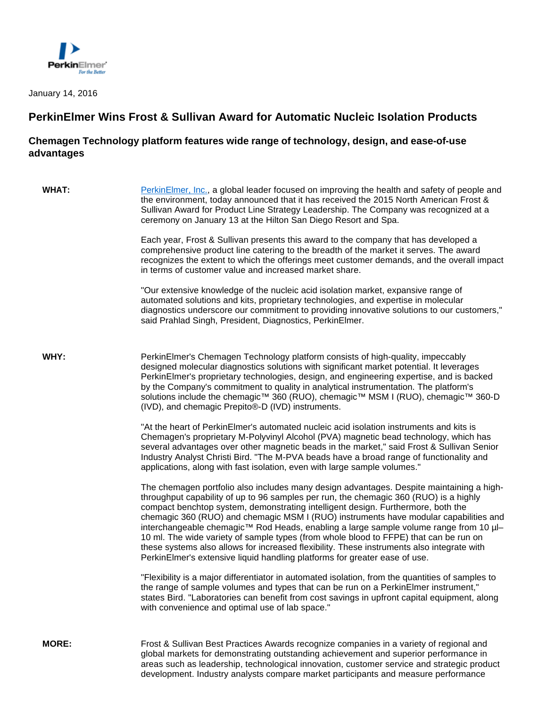

January 14, 2016

## **PerkinElmer Wins Frost & Sullivan Award for Automatic Nucleic Isolation Products**

## **Chemagen Technology platform features wide range of technology, design, and ease-of-use advantages**

| <b>WHAT:</b> | PerkinElmer, Inc., a global leader focused on improving the health and safety of people and<br>the environment, today announced that it has received the 2015 North American Frost &<br>Sullivan Award for Product Line Strategy Leadership. The Company was recognized at a<br>ceremony on January 13 at the Hilton San Diego Resort and Spa.                                                                                                                                                                                                                                                                                                                                                                                           |
|--------------|------------------------------------------------------------------------------------------------------------------------------------------------------------------------------------------------------------------------------------------------------------------------------------------------------------------------------------------------------------------------------------------------------------------------------------------------------------------------------------------------------------------------------------------------------------------------------------------------------------------------------------------------------------------------------------------------------------------------------------------|
|              | Each year, Frost & Sullivan presents this award to the company that has developed a<br>comprehensive product line catering to the breadth of the market it serves. The award<br>recognizes the extent to which the offerings meet customer demands, and the overall impact<br>in terms of customer value and increased market share.                                                                                                                                                                                                                                                                                                                                                                                                     |
|              | "Our extensive knowledge of the nucleic acid isolation market, expansive range of<br>automated solutions and kits, proprietary technologies, and expertise in molecular<br>diagnostics underscore our commitment to providing innovative solutions to our customers,"<br>said Prahlad Singh, President, Diagnostics, PerkinElmer.                                                                                                                                                                                                                                                                                                                                                                                                        |
| WHY:         | PerkinElmer's Chemagen Technology platform consists of high-quality, impeccably<br>designed molecular diagnostics solutions with significant market potential. It leverages<br>PerkinElmer's proprietary technologies, design, and engineering expertise, and is backed<br>by the Company's commitment to quality in analytical instrumentation. The platform's<br>solutions include the chemagic™ 360 (RUO), chemagic™ MSM I (RUO), chemagic™ 360-D<br>(IVD), and chemagic Prepito®-D (IVD) instruments.                                                                                                                                                                                                                                |
|              | "At the heart of PerkinElmer's automated nucleic acid isolation instruments and kits is<br>Chemagen's proprietary M-Polyvinyl Alcohol (PVA) magnetic bead technology, which has<br>several advantages over other magnetic beads in the market," said Frost & Sullivan Senior<br>Industry Analyst Christi Bird. "The M-PVA beads have a broad range of functionality and<br>applications, along with fast isolation, even with large sample volumes."                                                                                                                                                                                                                                                                                     |
|              | The chemagen portfolio also includes many design advantages. Despite maintaining a high-<br>throughput capability of up to 96 samples per run, the chemagic 360 (RUO) is a highly<br>compact benchtop system, demonstrating intelligent design. Furthermore, both the<br>chemagic 360 (RUO) and chemagic MSM I (RUO) instruments have modular capabilities and<br>interchangeable chemagic <sup>™</sup> Rod Heads, enabling a large sample volume range from 10 µl-<br>10 ml. The wide variety of sample types (from whole blood to FFPE) that can be run on<br>these systems also allows for increased flexibility. These instruments also integrate with<br>PerkinElmer's extensive liquid handling platforms for greater ease of use. |
|              | "Flexibility is a major differentiator in automated isolation, from the quantities of samples to<br>the range of sample volumes and types that can be run on a PerkinElmer instrument,"<br>states Bird. "Laboratories can benefit from cost savings in upfront capital equipment, along<br>with convenience and optimal use of lab space."                                                                                                                                                                                                                                                                                                                                                                                               |
| <b>MORE:</b> | Frost & Sullivan Best Practices Awards recognize companies in a variety of regional and<br>global markets for demonstrating outstanding achievement and superior performance in<br>areas such as leadership, technological innovation, customer service and strategic product<br>development. Industry analysts compare market participants and measure performance                                                                                                                                                                                                                                                                                                                                                                      |